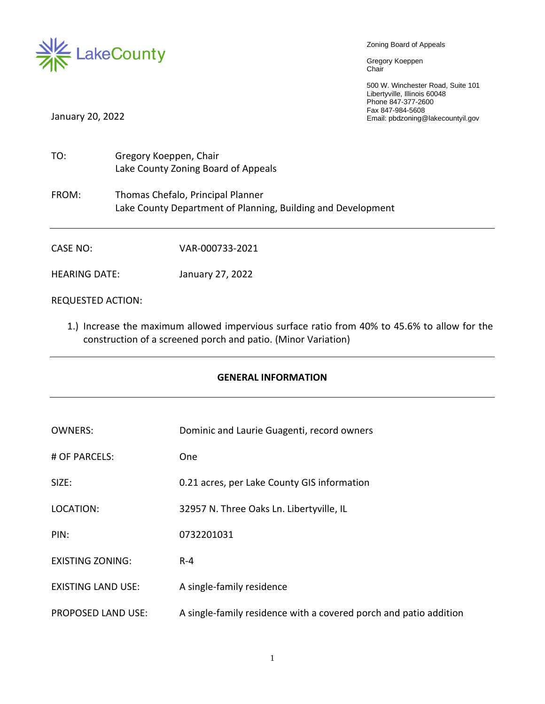

Zoning Board of Appeals

Gregory Koeppen Chair

500 W. Winchester Road, Suite 101 Libertyville, Illinois 60048 Phone 847-377-2600 Fax 847-984-5608 January 20, 2022 Email: pbdzoning@lakecountyil.gov

| TO:                  | Gregory Koeppen, Chair<br>Lake County Zoning Board of Appeals                                     |
|----------------------|---------------------------------------------------------------------------------------------------|
| FROM:                | Thomas Chefalo, Principal Planner<br>Lake County Department of Planning, Building and Development |
| CASE NO:             | VAR-000733-2021                                                                                   |
| <b>HEARING DATE:</b> | January 27, 2022                                                                                  |

REQUESTED ACTION:

1.) Increase the maximum allowed impervious surface ratio from 40% to 45.6% to allow for the construction of a screened porch and patio. (Minor Variation)

### **GENERAL INFORMATION**

| <b>OWNERS:</b>            | Dominic and Laurie Guagenti, record owners                        |
|---------------------------|-------------------------------------------------------------------|
| # OF PARCELS:             | <b>One</b>                                                        |
| SIZE:                     | 0.21 acres, per Lake County GIS information                       |
| LOCATION:                 | 32957 N. Three Oaks Ln. Libertyville, IL                          |
| PIN:                      | 0732201031                                                        |
| <b>EXISTING ZONING:</b>   | $R - 4$                                                           |
| <b>EXISTING LAND USE:</b> | A single-family residence                                         |
| <b>PROPOSED LAND USE:</b> | A single-family residence with a covered porch and patio addition |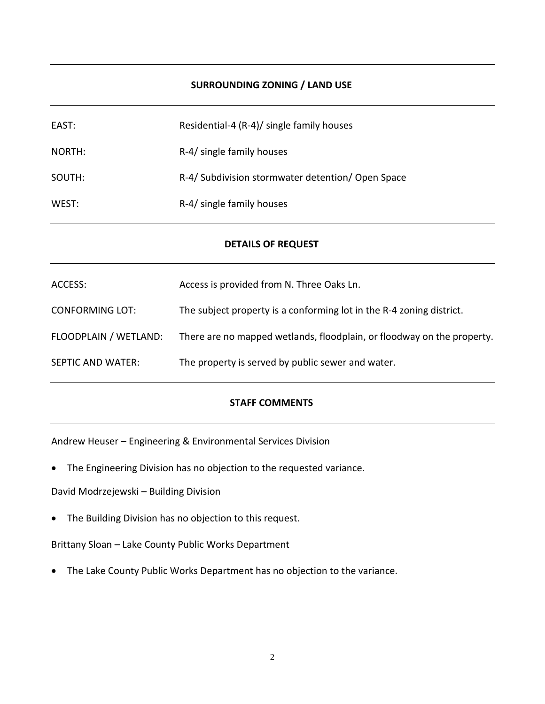### **SURROUNDING ZONING / LAND USE**

| EAST:  | Residential-4 (R-4)/ single family houses         |
|--------|---------------------------------------------------|
| NORTH: | R-4/ single family houses                         |
| SOUTH: | R-4/ Subdivision stormwater detention/ Open Space |
| WEST:  | R-4/ single family houses                         |

#### **DETAILS OF REQUEST**

| ACCESS:                | Access is provided from N. Three Oaks Ln.                              |
|------------------------|------------------------------------------------------------------------|
| <b>CONFORMING LOT:</b> | The subject property is a conforming lot in the R-4 zoning district.   |
| FLOODPLAIN / WETLAND:  | There are no mapped wetlands, floodplain, or floodway on the property. |
| SEPTIC AND WATER:      | The property is served by public sewer and water.                      |

### **STAFF COMMENTS**

Andrew Heuser – Engineering & Environmental Services Division

• The Engineering Division has no objection to the requested variance.

David Modrzejewski – Building Division

• The Building Division has no objection to this request.

Brittany Sloan – Lake County Public Works Department

• The Lake County Public Works Department has no objection to the variance.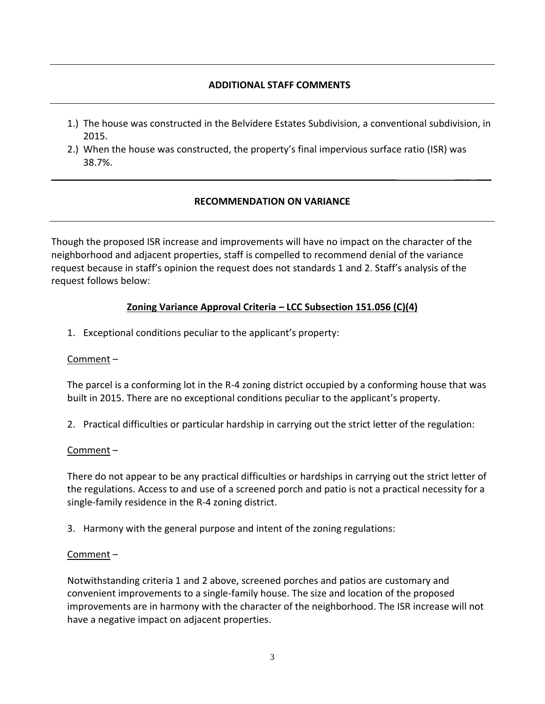## **ADDITIONAL STAFF COMMENTS**

- 1.) The house was constructed in the Belvidere Estates Subdivision, a conventional subdivision, in 2015.
- 2.) When the house was constructed, the property's final impervious surface ratio (ISR) was 38.7%.

## **RECOMMENDATION ON VARIANCE**

\_\_\_\_\_\_\_\_\_\_\_\_\_\_\_\_\_\_\_\_\_\_\_\_\_\_\_\_\_\_\_\_\_\_\_\_\_\_\_\_\_\_\_\_\_\_\_\_\_\_\_\_\_\_\_\_\_\_\_\_\_\_\_\_\_ \_\_\_ \_\_\_

Though the proposed ISR increase and improvements will have no impact on the character of the neighborhood and adjacent properties, staff is compelled to recommend denial of the variance request because in staff's opinion the request does not standards 1 and 2. Staff's analysis of the request follows below:

# **Zoning Variance Approval Criteria – LCC Subsection 151.056 (C)(4)**

1. Exceptional conditions peculiar to the applicant's property:

## Comment –

The parcel is a conforming lot in the R-4 zoning district occupied by a conforming house that was built in 2015. There are no exceptional conditions peculiar to the applicant's property.

2. Practical difficulties or particular hardship in carrying out the strict letter of the regulation:

## Comment –

There do not appear to be any practical difficulties or hardships in carrying out the strict letter of the regulations. Access to and use of a screened porch and patio is not a practical necessity for a single-family residence in the R-4 zoning district.

3. Harmony with the general purpose and intent of the zoning regulations:

# Comment –

Notwithstanding criteria 1 and 2 above, screened porches and patios are customary and convenient improvements to a single-family house. The size and location of the proposed improvements are in harmony with the character of the neighborhood. The ISR increase will not have a negative impact on adjacent properties.